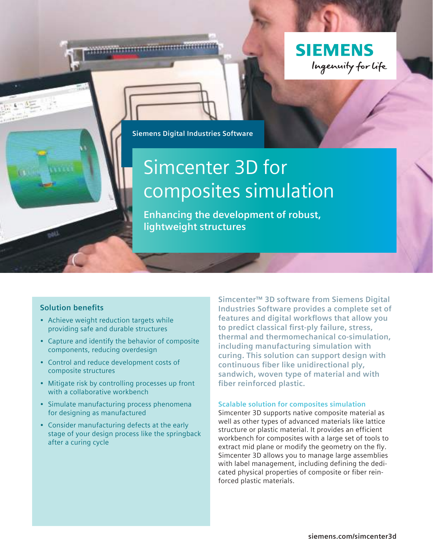

**Siemens Digital Industries Software**

# Simcenter 3D for composites simulation

**Enhancing the development of robust, lightweight structures**

#### **Solution benefits**

- Achieve weight reduction targets while providing safe and durable structures
- Capture and identify the behavior of composite components, reducing overdesign
- Control and reduce development costs of composite structures
- Mitigate risk by controlling processes up front with a collaborative workbench
- Simulate manufacturing process phenomena for designing as manufactured
- Consider manufacturing defects at the early stage of your design process like the springback after a curing cycle

**Simcenter™ 3D software from Siemens Digital Industries Software provides a complete set of features and digital workflows that allow you to predict classical first-ply failure, stress, thermal and thermomechanical co-simulation, including manufacturing simulation with curing. This solution can support design with continuous fiber like unidirectional ply, sandwich, woven type of material and with fiber reinforced plastic.**

#### **Scalable solution for composites simulation**

Simcenter 3D supports native composite material as well as other types of advanced materials like lattice structure or plastic material. It provides an efficient workbench for composites with a large set of tools to extract mid plane or modify the geometry on the fly. Simcenter 3D allows you to manage large assemblies with label management, including defining the dedicated physical properties of composite or fiber reinforced plastic materials.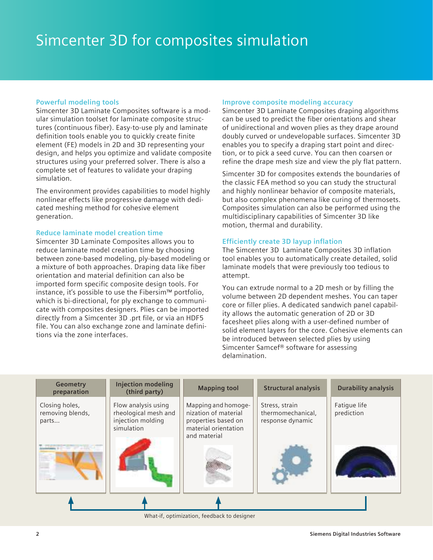#### **Powerful modeling tools**

Simcenter 3D Laminate Composites software is a modular simulation toolset for laminate composite structures (continuous fiber). Easy-to-use ply and laminate definition tools enable you to quickly create finite element (FE) models in 2D and 3D representing your design, and helps you optimize and validate composite structures using your preferred solver. There is also a complete set of features to validate your draping simulation.

The environment provides capabilities to model highly nonlinear effects like progressive damage with dedicated meshing method for cohesive element generation.

#### **Reduce laminate model creation time**

Simcenter 3D Laminate Composites allows you to reduce laminate model creation time by choosing between zone-based modeling, ply-based modeling or a mixture of both approaches. Draping data like fiber orientation and material definition can also be imported form specific composite design tools. For instance, it's possible to use the Fibersim™ portfolio, which is bi-directional, for ply exchange to communicate with composites designers. Plies can be imported directly from a Simcenter 3D .prt file, or via an HDF5 file. You can also exchange zone and laminate definitions via the zone interfaces.

#### **Improve composite modeling accuracy**

Simcenter 3D Laminate Composites draping algorithms can be used to predict the fiber orientations and shear of unidirectional and woven plies as they drape around doubly curved or undevelopable surfaces. Simcenter 3D enables you to specify a draping start point and direction, or to pick a seed curve. You can then coarsen or refine the drape mesh size and view the ply flat pattern.

Simcenter 3D for composites extends the boundaries of the classic FEA method so you can study the structural and highly nonlinear behavior of composite materials, but also complex phenomena like curing of thermosets. Composites simulation can also be performed using the multidisciplinary capabilities of Simcenter 3D like motion, thermal and durability.

#### **Efficiently create 3D layup inflation**

The Simcenter 3D Laminate Composites 3D inflation tool enables you to automatically create detailed, solid laminate models that were previously too tedious to attempt.

You can extrude normal to a 2D mesh or by filling the volume between 2D dependent meshes. You can taper core or filler plies. A dedicated sandwich panel capability allows the automatic generation of 2D or 3D facesheet plies along with a user-defined number of solid element layers for the core. Cohesive elements can be introduced between selected plies by using Simcenter Samcef® software for assessing delamination.



What-if, optimization, feedback to designer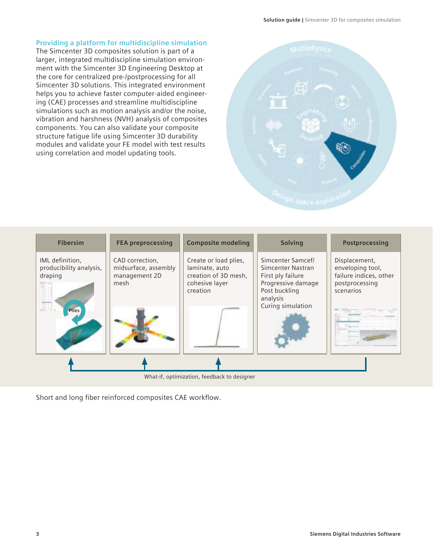#### **Providing a platform for multidiscipline simulation**

The Simcenter 3D composites solution is part of a larger, integrated multidiscipline simulation environment with the Simcenter 3D Engineering Desktop at the core for centralized pre-/postprocessing for all Simcenter 3D solutions. This integrated environment helps you to achieve faster computer-aided engineering (CAE) processes and streamline multidiscipline simulations such as motion analysis and/or the noise, vibration and harshness (NVH) analysis of composites components. You can also validate your composite structure fatigue life using Simcenter 3D durability modules and validate your FE model with test results using correlation and model updating tools.



| <b>Fibersim</b>                                                       | <b>FEA preprocessing</b>                                         | <b>Composite modeling</b>                                                                     | <b>Solving</b>                                                                                                                      | Postprocessing                                                                             |  |
|-----------------------------------------------------------------------|------------------------------------------------------------------|-----------------------------------------------------------------------------------------------|-------------------------------------------------------------------------------------------------------------------------------------|--------------------------------------------------------------------------------------------|--|
| IML definition,<br>producibility analysis,<br>draping<br><b>Plies</b> | CAD correction,<br>midsurface, assembly<br>management 2D<br>mesh | Create or load plies,<br>laminate, auto<br>creation of 3D mesh,<br>cohesive layer<br>creation | Simcenter Samcef/<br>Simcenter Nastran<br>First ply failure<br>Progressive damage<br>Post buckling<br>analysis<br>Curing simulation | Displacement,<br>enveloping tool,<br>failure indices, other<br>postprocessing<br>scenarios |  |
|                                                                       |                                                                  |                                                                                               |                                                                                                                                     |                                                                                            |  |
| What-if, optimization, feedback to designer                           |                                                                  |                                                                                               |                                                                                                                                     |                                                                                            |  |

Short and long fiber reinforced composites CAE workflow.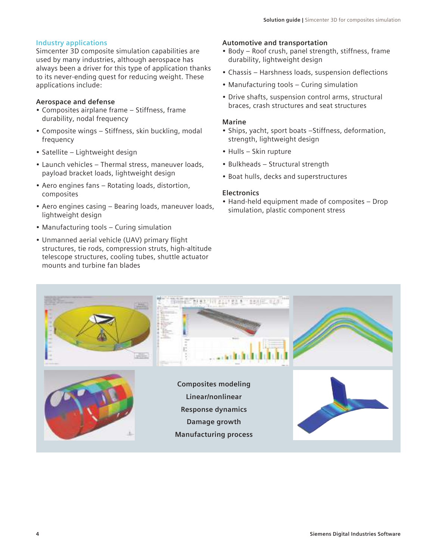#### **Industry applications**

Simcenter 3D composite simulation capabilities are used by many industries, although aerospace has always been a driver for this type of application thanks to its never-ending quest for reducing weight. These applications include:

#### **Aerospace and defense**

- Composites airplane frame Stiffness, frame durability, nodal frequency
- Composite wings Stiffness, skin buckling, modal frequency
- Satellite Lightweight design
- Launch vehicles Thermal stress, maneuver loads, payload bracket loads, lightweight design
- Aero engines fans Rotating loads, distortion, composites
- Aero engines casing Bearing loads, maneuver loads, lightweight design
- Manufacturing tools Curing simulation
- Unmanned aerial vehicle (UAV) primary flight structures, tie rods, compression struts, high-altitude telescope structures, cooling tubes, shuttle actuator mounts and turbine fan blades

#### **Automotive and transportation**

- Body Roof crush, panel strength, stiffness, frame durability, lightweight design
- Chassis Harshness loads, suspension deflections
- Manufacturing tools Curing simulation
- Drive shafts, suspension control arms, structural braces, crash structures and seat structures

#### **Marine**

- Ships, yacht, sport boats –Stiffness, deformation, strength, lightweight design
- Hulls Skin rupture
- Bulkheads Structural strength
- Boat hulls, decks and superstructures

#### **Electronics**

• Hand-held equipment made of composites – Drop simulation, plastic component stress

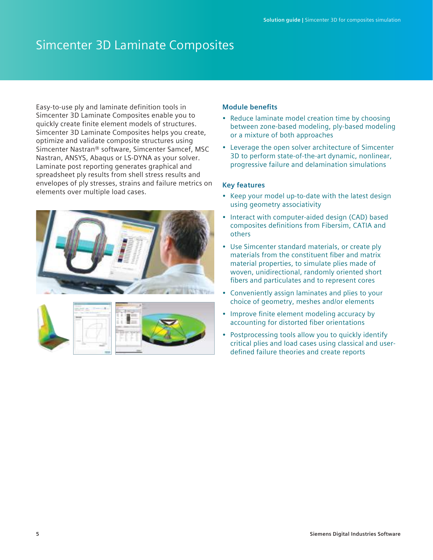### Simcenter 3D Laminate Composites

Easy-to-use ply and laminate definition tools in Simcenter 3D Laminate Composites enable you to quickly create finite element models of structures. Simcenter 3D Laminate Composites helps you create, optimize and validate composite structures using Simcenter Nastran® software, Simcenter Samcef, MSC Nastran, ANSYS, Abaqus or LS-DYNA as your solver. Laminate post reporting generates graphical and spreadsheet ply results from shell stress results and envelopes of ply stresses, strains and failure metrics on elements over multiple load cases.



#### **Module benefits**

- Reduce laminate model creation time by choosing between zone-based modeling, ply-based modeling or a mixture of both approaches
- Leverage the open solver architecture of Simcenter 3D to perform state-of-the-art dynamic, nonlinear, progressive failure and delamination simulations

#### **Key features**

- Keep your model up-to-date with the latest design using geometry associativity
- Interact with computer-aided design (CAD) based composites definitions from Fibersim, CATIA and others
- Use Simcenter standard materials, or create ply materials from the constituent fiber and matrix material properties, to simulate plies made of woven, unidirectional, randomly oriented short fibers and particulates and to represent cores
- Conveniently assign laminates and plies to your choice of geometry, meshes and/or elements
- Improve finite element modeling accuracy by accounting for distorted fiber orientations
- Postprocessing tools allow you to quickly identify critical plies and load cases using classical and userdefined failure theories and create reports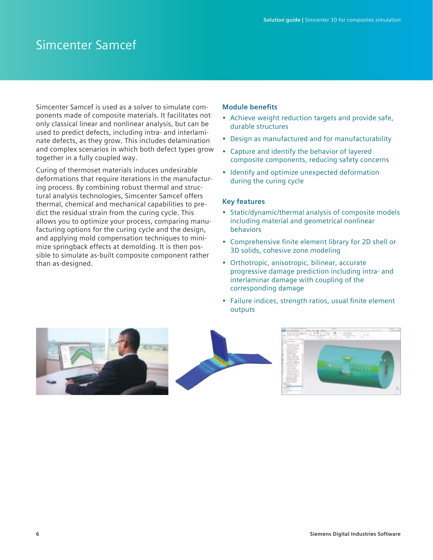### Simcenter Samcef

Simcenter Samcef is used as a solver to simulate components made of composite materials. It facilitates not only classical linear and nonlinear analysis, but can be used to predict defects, including intra- and interlaminate defects, as they grow. This includes delamination and complex scenarios in which both defect types grow together in a fully coupled way.

Curing of thermoset materials induces undesirable deformations that require iterations in the manufacturing process. By combining robust thermal and structural analysis technologies, Simcenter Samcef offers thermal, chemical and mechanical capabilities to predict the residual strain from the curing cycle. This allows you to optimize your process, comparing manufacturing options for the curing cycle and the design, and applying mold compensation techniques to minimize springback effects at demolding. It is then possible to simulate as-built composite component rather than as-designed.

#### **Module benefits**

- Achieve weight reduction targets and provide safe, durable structures
- Design as manufactured and for manufacturability
- Capture and identify the behavior of layered composite components, reducing safety concerns
- Identify and optimize unexpected deformation during the curing cycle

#### **Key features**

- Static/dynamic/thermal analysis of composite models including material and geometrical nonlinear behaviors
- Comprehensive finite element library for 2D shell or 3D solids, cohesive zone modeling
- Orthotropic, anisotropic, bilinear, accurate progressive damage prediction including intra- and interlaminar damage with coupling of the corresponding damage
- Failure indices, strength ratios, usual finite element outputs

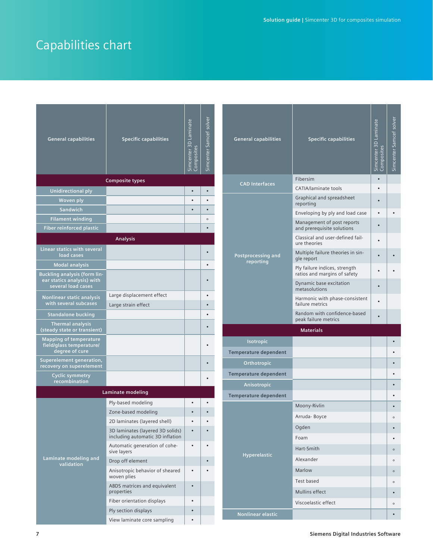## Capabilities chart

| <b>General capabilities</b>                                                             | <b>Specific capabilities</b>                                         | Simcenter 3D Laminate<br>Composites | Simcenter Samcef solver | Genera                       |  |
|-----------------------------------------------------------------------------------------|----------------------------------------------------------------------|-------------------------------------|-------------------------|------------------------------|--|
|                                                                                         | <b>Composite types</b>                                               |                                     |                         | <b>CAD</b>                   |  |
| <b>Unidirectional ply</b>                                                               |                                                                      | $\bullet$                           | $\bullet$               |                              |  |
| Woven ply                                                                               |                                                                      |                                     |                         |                              |  |
| Sandwich                                                                                |                                                                      |                                     | $\bullet$               |                              |  |
| <b>Filament winding</b>                                                                 |                                                                      |                                     | $\circ$                 |                              |  |
| <b>Fiber reinforced plastic</b>                                                         |                                                                      |                                     | $\bullet$               |                              |  |
|                                                                                         | <b>Analysis</b>                                                      |                                     |                         |                              |  |
| Linear statics with several<br>load cases                                               |                                                                      |                                     |                         | Postpro                      |  |
| <b>Modal analysis</b>                                                                   |                                                                      |                                     |                         | re                           |  |
| <b>Buckling analysis (form lin-</b><br>ear statics analysis) with<br>several load cases |                                                                      |                                     |                         |                              |  |
| <b>Nonlinear static analysis</b><br>with several subcases                               | Large displacement effect<br>Large strain effect                     |                                     |                         |                              |  |
| <b>Standalone bucking</b>                                                               |                                                                      |                                     |                         |                              |  |
| <b>Thermal analysis</b><br>(steady state or transient)                                  |                                                                      |                                     | $\bullet$               |                              |  |
| <b>Mapping of temperature</b><br>field/glass temperature/<br>degree of cure             |                                                                      |                                     |                         | <b>Is</b><br><b>Temperat</b> |  |
| <b>Superelement generation,</b><br>recovery on superelement                             |                                                                      |                                     |                         | Ort                          |  |
| <b>Cyclic symmetry</b><br>recombination                                                 |                                                                      |                                     |                         | <b>Temperat</b><br>Ani       |  |
|                                                                                         | Laminate modeling                                                    |                                     |                         | <b>Temperat</b>              |  |
|                                                                                         | Ply-based modeling                                                   |                                     |                         |                              |  |
|                                                                                         | Zone-based modeling                                                  |                                     |                         |                              |  |
|                                                                                         | 2D laminates (layered shell)                                         |                                     |                         |                              |  |
|                                                                                         | 3D laminates (layered 3D solids)<br>including automatic 3D inflation |                                     |                         |                              |  |
|                                                                                         | Automatic generation of cohe-<br>sive layers                         | $\bullet$                           |                         | Hyp                          |  |
| Laminate modeling and<br>validation                                                     | Drop off element                                                     |                                     |                         |                              |  |
|                                                                                         | Anisotropic behavior of sheared<br>woven plies                       | $\bullet$                           |                         |                              |  |
|                                                                                         | ABDS matrices and equivalent<br>properties                           |                                     |                         |                              |  |
|                                                                                         | Fiber orientation displays                                           | $\bullet$                           |                         |                              |  |
|                                                                                         | Ply section displays                                                 |                                     |                         | Nonlir                       |  |
|                                                                                         | View laminate core sampling                                          |                                     |                         |                              |  |

| <b>General capabilities</b>     | <b>Specific capabilities</b>                                  | Simcenter 3D Laminate<br>posites | Simcenter Samcef solver |
|---------------------------------|---------------------------------------------------------------|----------------------------------|-------------------------|
|                                 | Fibersim                                                      |                                  |                         |
| <b>CAD Interfaces</b>           | CATIA/laminate tools                                          |                                  |                         |
| Postprocessing and<br>reporting | Graphical and spreadsheet<br>reporting                        |                                  |                         |
|                                 | Enveloping by ply and load case                               |                                  |                         |
|                                 | Management of post reports<br>and prerequisite solutions      |                                  |                         |
|                                 | Classical and user-defined fail-<br>ure theories              |                                  |                         |
|                                 | Multiple failure theories in sin-<br>gle report               |                                  |                         |
|                                 | Ply failure indices, strength<br>ratios and margins of safety |                                  |                         |
|                                 | Dynamic base excitation<br>metasolutions                      |                                  |                         |
|                                 | Harmonic with phase-consistent<br>failure metrics             |                                  |                         |
|                                 | Random with confidence-based<br>peak failure metrics          |                                  |                         |
|                                 | <b>Materials</b>                                              |                                  |                         |
| Isotropic                       |                                                               |                                  |                         |
| Temperature dependent           |                                                               |                                  |                         |
| Orthotropic                     |                                                               |                                  |                         |
|                                 |                                                               |                                  |                         |
| Temperature dependent           |                                                               |                                  |                         |
| Anisotropic                     |                                                               |                                  |                         |
| Temperature dependent           |                                                               |                                  |                         |
|                                 | Moony-Rivlin                                                  |                                  |                         |
|                                 | Arruda-Boyce                                                  |                                  | $\circ$                 |
|                                 | Ogden                                                         |                                  |                         |
|                                 | Foam                                                          |                                  |                         |
|                                 | Hart-Smith                                                    |                                  | $\circ$                 |
| <b>Hyperelastic</b>             | Alexander                                                     |                                  | $\circ$                 |
|                                 | Marlow                                                        |                                  | $\circ$                 |
|                                 | Test based                                                    |                                  | $\circ$                 |
|                                 | Mullins effect                                                |                                  |                         |
|                                 | Viscoelastic effect                                           |                                  | $\circ$                 |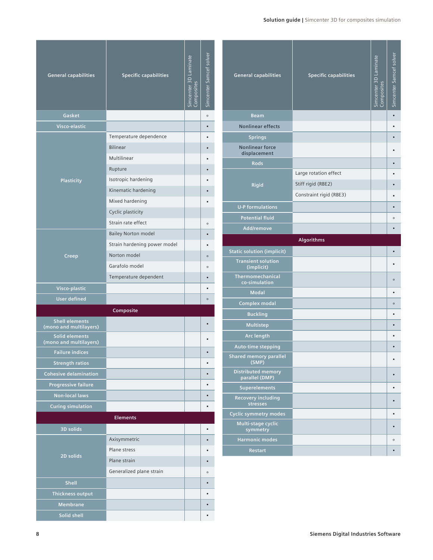#### **Solution guide |** Simcenter 3D for composites simulation

| <b>General capabilities</b>                     | <b>Specific capabilities</b> | Simcenter 3D Laminate<br>Composites | Simcenter Samcef solver |  |
|-------------------------------------------------|------------------------------|-------------------------------------|-------------------------|--|
| Gasket                                          |                              |                                     | $\circ$                 |  |
| Visco-elastic                                   |                              |                                     |                         |  |
|                                                 | Temperature dependence       |                                     |                         |  |
|                                                 | <b>Bilinear</b>              |                                     |                         |  |
|                                                 | Multilinear                  |                                     |                         |  |
|                                                 | Rupture                      |                                     |                         |  |
| <b>Plasticity</b>                               | Isotropic hardening          |                                     |                         |  |
|                                                 | Kinematic hardening          |                                     |                         |  |
|                                                 | Mixed hardening              |                                     |                         |  |
|                                                 | Cyclic plasticity            |                                     |                         |  |
|                                                 | Strain rate effect           |                                     | $\circ$                 |  |
|                                                 | <b>Bailey Norton model</b>   |                                     |                         |  |
|                                                 | Strain hardening power model |                                     |                         |  |
| Creep                                           | Norton model                 |                                     | $\circ$                 |  |
|                                                 | Garafolo model               |                                     | $\circ$                 |  |
|                                                 | Temperature dependent        |                                     |                         |  |
| Visco-plastic                                   |                              |                                     |                         |  |
| <b>User defined</b>                             |                              |                                     | $\circ$                 |  |
| Composite                                       |                              |                                     |                         |  |
| <b>Shell elements</b><br>(mono and multilayers) |                              |                                     |                         |  |
| Solid elements<br>(mono and multilayers)        |                              |                                     |                         |  |
| <b>Failure indices</b>                          |                              |                                     |                         |  |
| <b>Strength ratios</b>                          |                              |                                     |                         |  |
| <b>Cohesive delamination</b>                    |                              |                                     |                         |  |
| <b>Progressive failure</b>                      |                              |                                     |                         |  |
| <b>Non-local laws</b>                           |                              |                                     |                         |  |
| <b>Curing simulation</b>                        |                              |                                     |                         |  |
|                                                 | <b>Elements</b>              |                                     |                         |  |
| <b>3D solids</b>                                |                              |                                     |                         |  |
|                                                 | Axisymmetric                 |                                     |                         |  |
| $\overline{2D}$ solids                          | Plane stress                 |                                     |                         |  |
|                                                 | Plane strain                 |                                     |                         |  |
|                                                 | Generalized plane strain     |                                     | $\circ$                 |  |
| Shell                                           |                              |                                     |                         |  |
| Thickness output                                |                              |                                     |                         |  |
| Membrane                                        |                              |                                     |                         |  |
| Solid shell                                     |                              |                                     |                         |  |

| <b>General capabilities</b>                 | <b>Specific capabilities</b> | Simcenter 3D Laminate<br>composites | Simcenter Samcef solver |
|---------------------------------------------|------------------------------|-------------------------------------|-------------------------|
| <b>Beam</b>                                 |                              |                                     |                         |
| <b>Nonlinear effects</b>                    |                              |                                     |                         |
| <b>Springs</b>                              |                              |                                     |                         |
| <b>Nonlinear force</b><br>displacement      |                              |                                     |                         |
| <b>Rods</b>                                 |                              |                                     |                         |
|                                             | Large rotation effect        |                                     |                         |
| Rigid                                       | Stiff rigid (RBE2)           |                                     |                         |
|                                             | Constraint rigid (RBE3)      |                                     |                         |
| <b>U-P formulations</b>                     |                              |                                     |                         |
| <b>Potential fluid</b>                      |                              |                                     | $\circ$                 |
| Add/remove                                  |                              |                                     |                         |
|                                             | Algorithms                   |                                     |                         |
| <b>Static solution (implicit)</b>           |                              |                                     |                         |
| <b>Transient solution</b><br>(implicit)     |                              |                                     |                         |
| Thermomechanical<br>co-simulation           |                              |                                     | $\circ$                 |
| <b>Modal</b>                                |                              |                                     |                         |
| <b>Complex modal</b>                        |                              |                                     | $\circ$                 |
| <b>Buckling</b>                             |                              |                                     |                         |
| Multistep                                   |                              |                                     |                         |
| Arc length                                  |                              |                                     |                         |
| Auto-time stepping                          |                              |                                     |                         |
| <b>Shared memory parallel</b><br>(SMP)      |                              |                                     |                         |
| <b>Distributed memory</b><br>parallel (DMP) |                              |                                     |                         |
| <b>Superelements</b>                        |                              |                                     |                         |
| Recovery including<br>stresses              |                              |                                     |                         |
| <b>Cyclic symmetry modes</b>                |                              |                                     |                         |
| Multi-stage cyclic<br>symmetry              |                              |                                     |                         |
| <b>Harmonic modes</b>                       |                              |                                     | $\circ$                 |
| <b>Restart</b>                              |                              |                                     |                         |

I